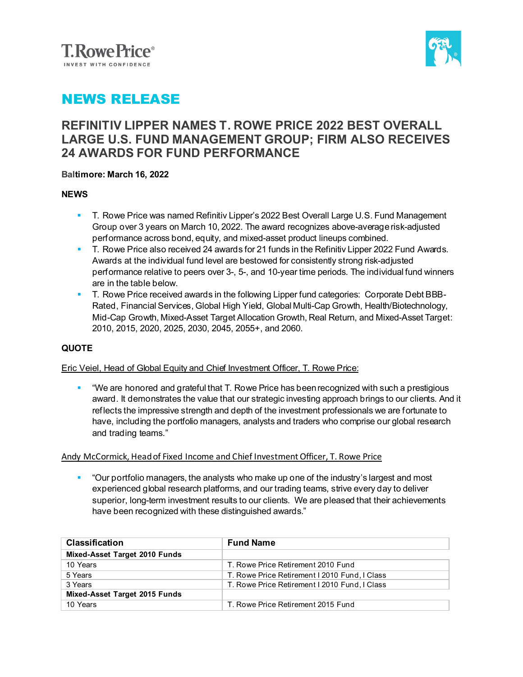



## NEWS RELEASE

### **REFINITIV LIPPER NAMES T. ROWE PRICE 2022 BEST OVERALL LARGE U.S. FUND MANAGEMENT GROUP; FIRM ALSO RECEIVES 24 AWARDS FOR FUND PERFORMANCE**

### **Baltimore: March 16, 2022**

### **NEWS**

- T. Rowe Price was named Refinitiv Lipper's 2022 Best Overall Large U.S. Fund Management Group over 3 years on March 10, 2022. The award recognizes above-average risk-adjusted performance across bond, equity, and mixed-asset product lineups combined.
- T. Rowe Price also received 24 awards for 21 funds in the Refinitiv Lipper 2022 Fund Awards. Awards at the individual fund level are bestowed for consistently strong risk-adjusted performance relative to peers over 3-, 5-, and 10-year time periods. The individual fund winners are in the table below.
- **T. Rowe Price received awards in the following Lipper fund categories: Corporate Debt BBB-**Rated, Financial Services, Global High Yield, Global Multi-Cap Growth, Health/Biotechnology, Mid-Cap Growth, Mixed-Asset Target Allocation Growth, Real Return, and Mixed-Asset Target: 2010, 2015, 2020, 2025, 2030, 2045, 2055+, and 2060.

### **QUOTE**

### Eric Veiel, Head of Global Equity and Chief Investment Officer, T. Rowe Price:

 "We are honored and grateful that T. Rowe Price has been recognized with such a prestigious award. It demonstrates the value that our strategic investing approach brings to our clients. And it reflects the impressive strength and depth of the investment professionals we are fortunate to have, including the portfolio managers, analysts and traders who comprise our global research and trading teams."

#### Andy McCormick, Head of Fixed Income and Chief Investment Officer, T. Rowe Price

 "Our portfolio managers, the analysts who make up one of the industry's largest and most experienced global research platforms, and our trading teams, strive every day to deliver superior, long-term investment results to our clients. We are pleased that their achievements have been recognized with these distinguished awards."

| <b>Classification</b>         | <b>Fund Name</b>                              |
|-------------------------------|-----------------------------------------------|
| Mixed-Asset Target 2010 Funds |                                               |
| 10 Years                      | T. Rowe Price Retirement 2010 Fund            |
| 5 Years                       | T. Rowe Price Retirement I 2010 Fund, I Class |
| 3 Years                       | T. Rowe Price Retirement I 2010 Fund. I Class |
| Mixed-Asset Target 2015 Funds |                                               |
| 10 Years                      | T. Rowe Price Retirement 2015 Fund            |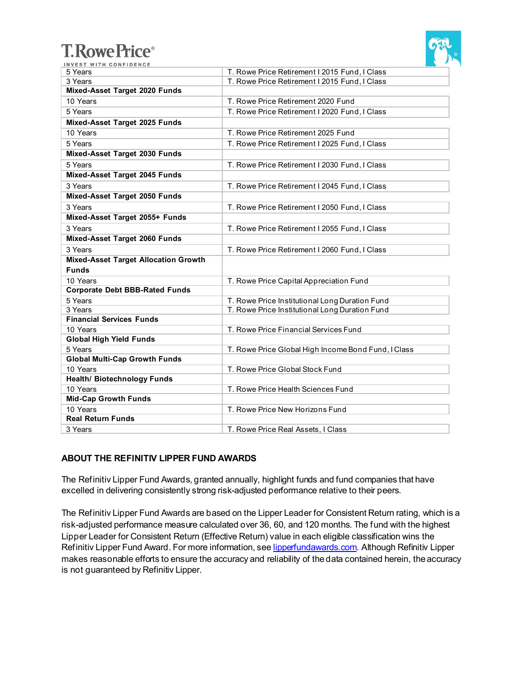# **T. Rowe Price®**



| INVEST WITH CONFIDENCE                      |                                                     |
|---------------------------------------------|-----------------------------------------------------|
| 5 Years                                     | T. Rowe Price Retirement I 2015 Fund, I Class       |
| 3 Years                                     | T. Rowe Price Retirement I 2015 Fund, I Class       |
| Mixed-Asset Target 2020 Funds               |                                                     |
| 10 Years                                    | T. Rowe Price Retirement 2020 Fund                  |
| 5 Years                                     | T. Rowe Price Retirement I 2020 Fund, I Class       |
| Mixed-Asset Target 2025 Funds               |                                                     |
| 10 Years                                    | T. Rowe Price Retirement 2025 Fund                  |
| 5 Years                                     | T. Rowe Price Retirement I 2025 Fund, I Class       |
| Mixed-Asset Target 2030 Funds               |                                                     |
| 5 Years                                     | T. Rowe Price Retirement I 2030 Fund, I Class       |
| Mixed-Asset Target 2045 Funds               |                                                     |
| 3 Years                                     | T. Rowe Price Retirement I 2045 Fund, I Class       |
| Mixed-Asset Target 2050 Funds               |                                                     |
| 3 Years                                     | T. Rowe Price Retirement I 2050 Fund, I Class       |
| Mixed-Asset Target 2055+ Funds              |                                                     |
| 3 Years                                     | T. Rowe Price Retirement I 2055 Fund, I Class       |
| Mixed-Asset Target 2060 Funds               |                                                     |
| 3 Years                                     | T. Rowe Price Retirement I 2060 Fund, I Class       |
| <b>Mixed-Asset Target Allocation Growth</b> |                                                     |
| <b>Funds</b>                                |                                                     |
| 10 Years                                    | T. Rowe Price Capital Appreciation Fund             |
| <b>Corporate Debt BBB-Rated Funds</b>       |                                                     |
| 5 Years                                     | T. Rowe Price Institutional Long Duration Fund      |
| 3 Years                                     | T. Rowe Price Institutional Long Duration Fund      |
| <b>Financial Services Funds</b>             |                                                     |
| 10 Years                                    | T. Rowe Price Financial Services Fund               |
| <b>Global High Yield Funds</b>              |                                                     |
| 5 Years                                     | T. Rowe Price Global High Income Bond Fund, I Class |
| <b>Global Multi-Cap Growth Funds</b>        |                                                     |
| 10 Years                                    | T. Rowe Price Global Stock Fund                     |
| <b>Health/ Biotechnology Funds</b>          |                                                     |
| 10 Years                                    | T. Rowe Price Health Sciences Fund                  |
| <b>Mid-Cap Growth Funds</b>                 |                                                     |
| 10 Years                                    | T. Rowe Price New Horizons Fund                     |
| <b>Real Return Funds</b>                    |                                                     |
| 3 Years                                     | T. Rowe Price Real Assets, I Class                  |

### **ABOUT THE REFINITIV LIPPER FUND AWARDS**

The Refinitiv Lipper Fund Awards, granted annually, highlight funds and fund companies that have excelled in delivering consistently strong risk-adjusted performance relative to their peers.

The Refinitiv Lipper Fund Awards are based on the Lipper Leader for Consistent Return rating, which is a risk-adjusted performance measure calculated over 36, 60, and 120 months. The fund with the highest Lipper Leader for Consistent Return (Effective Return) value in each eligible classification wins the Refinitiv Lipper Fund Award. For more information, se[e lipperfundawards.com.](https://www.lipperfundawards.com/) Although Refinitiv Lipper makes reasonable efforts to ensure the accuracy and reliability of the data contained herein, the accuracy is not guaranteed by Refinitiv Lipper.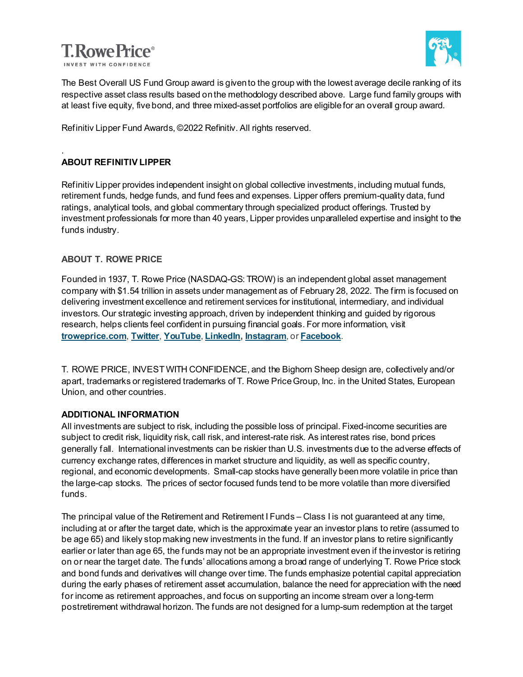



The Best Overall US Fund Group award is given to the group with the lowest average decile ranking of its respective asset class results based on the methodology described above. Large fund family groups with at least five equity, five bond, and three mixed-asset portfolios are eligible for an overall group award.

Refinitiv Lipper Fund Awards, ©2022 Refinitiv. All rights reserved.

### . **ABOUT REFINITIV LIPPER**

Refinitiv Lipper provides independent insight on global collective investments, including mutual funds, retirement funds, hedge funds, and fund fees and expenses. Lipper offers premium-quality data, fund ratings, analytical tools, and global commentary through specialized product offerings. Trusted by investment professionals for more than 40 years, Lipper provides unparalleled expertise and insight to the funds industry.

### **ABOUT T. ROWE PRICE**

Founded in 1937, T. Rowe Price (NASDAQ-GS: TROW) is an independent global asset management company with \$1.54 trillion in assets under management as of February 28, 2022. The firm is focused on delivering investment excellence and retirement services for institutional, intermediary, and individual investors. Our strategic investing approach, driven by independent thinking and guided by rigorous research, helps clients feel confident in pursuing financial goals. For more information, visit **[troweprice.com](http://www.troweprice.com/)**, **[Twitter](http://www.twitter.com/troweprice)**, **[YouTube](http://www.youtube.com/trowepricegroup)**, **[LinkedIn](http://www.linkedin.com/company/t.-rowe-price)[, Instagram](https://www.instagram.com/t._rowe_price/)**, or **[Facebook](http://www.fb.com/troweprice)**.

T. ROWE PRICE, INVEST WITH CONFIDENCE, and the Bighorn Sheep design are, collectively and/or apart, trademarks or registered trademarks of T. Rowe Price Group, Inc. in the United States, European Union, and other countries.

### **ADDITIONAL INFORMATION**

All investments are subject to risk, including the possible loss of principal. Fixed-income securities are subject to credit risk, liquidity risk, call risk, and interest-rate risk. As interest rates rise, bond prices generally fall. International investments can be riskier than U.S. investments due to the adverse effects of currency exchange rates, differences in market structure and liquidity, as well as specific country, regional, and economic developments. Small-cap stocks have generally been more volatile in price than the large-cap stocks. The prices of sector focused funds tend to be more volatile than more diversified funds.

The principal value of the Retirement and Retirement I Funds – Class I is not guaranteed at any time, including at or after the target date, which is the approximate year an investor plans to retire (assumed to be age 65) and likely stop making new investments in the fund. If an investor plans to retire significantly earlier or later than age 65, the funds may not be an appropriate investment even if the investor is retiring on or near the target date. The funds' allocations among a broad range of underlying T. Rowe Price stock and bond funds and derivatives will change over time. The funds emphasize potential capital appreciation during the early phases of retirement asset accumulation, balance the need for appreciation with the need for income as retirement approaches, and focus on supporting an income stream over a long-term postretirement withdrawal horizon. The funds are not designed for a lump-sum redemption at the target